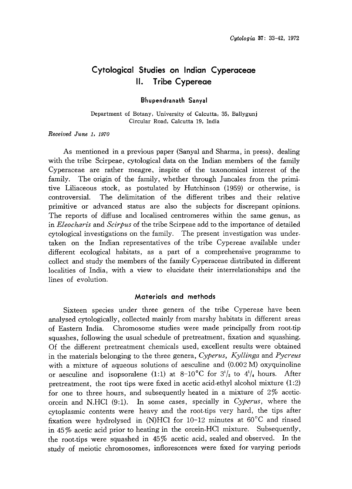# Cytological Studies on Indian Cyperaceae II. Tribe Cypereae

#### Bhupendranath Sanyal

Department of Botany, University of Calcutta, 35, Ballygunj Circular Road, Calcutta 19, India

#### Received June 1, 1970

As mentioned in a previous paper (Sanyal and Sharma, in press), dealing with the tribe Scirpeae, cytological data on the Indian members of the family Cyperaceae are rather meagre, inspite of the taxonomical interest of the family. The origin of the family, whether through Juncales from the primi tive Liliaceous stock, as postulated by Hutchinson (1959) or otherwise, is controversial. The delimitation of the different tribes and their relative primitive or advanced status are also the subjects for discrepant opinions. The reports of diffuse and localised centromeres within the same genus, as in *Eleocharis* and *Scirpus* of the tribe Scirpeae add to the importance of detailed cytological investigations on the family. The present investigation was under taken on the Indian representatives of the tribe Cypereae available under different ecological habitats, as a part of a comprehensive programme to collect and study the members of the family Cyperaceae distributed in different localities of India, with a view to elucidate their interrelationships and the lines of evolution.

#### Materials and methods

Sixteen species under three genera of the tribe Cypereae have been analysed cytologically, collected mainly from marshy habitats in different areas of Eastern India. Chromosome studies were made principally from root-tip squashes, following the usual schedule of pretreatment, fixation and squashing. Of the different pretreatment chemicals used, excellent results were obtained in the materials belonging to the three genera, Cyperus, Kyllinga and Pycreus with a mixture of aqueous solutions of aesculine and (0.002M) oxyquinoline or aesculine and isopsoralene (1:1) at 8-10°C for  $3^{1}/_{2}$  to  $4^{1}/_{4}$  hours. After pretreatment, the root tips were fixed in acetic acid-ethyl alcohol mixture  $(1:2)$ for one to three hours, and subsequently heated in a mixture of 2% acetic orcein and N.HCl (9:1). In some cases, specially in Cyperus, where the cytoplasmic contents were heavy and the root-tips very hard, the tips after fixation were hydrolysed in (N)HCl for 10-12 minutes at  $60^{\circ}$ C and rinsed in 45% acetic acid prior to heating in the orcein-HCl mixture. Subsequently, the root-tips were squashed in 45% acetic acid, sealed and observed. In the study of meiotic chromosomes, inflorescences were fixed for varying periods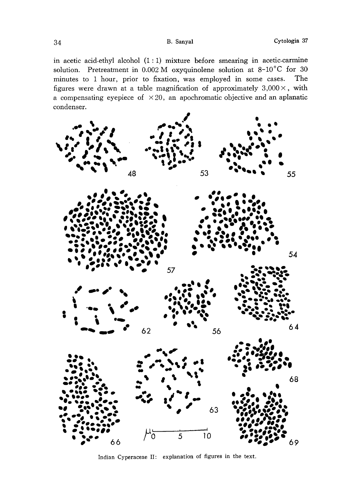in acetic acid-ethyl alcohol  $(1:1)$  mixture before smearing in acetic-carmine solution. Pretreatment in  $0.002$  M oxyquinolene solution at  $8\text{-}10\textdegree\text{C}$  for 30 minutes to 1 hour, prior to fixation, was employed in some cases. The figures were drawn at a table magnification of approximately  $3,000 \times$ , with a compensating eyepiece of  $\times 20$ , an apochromatic objective and an aplanatic condenser.



Indian Cyperaceae II: explanation of figures in the text.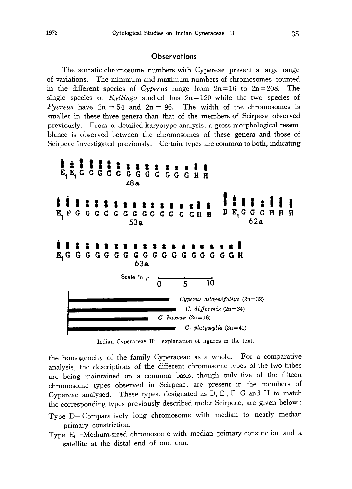## **Observations**

The somatic chromosome numbers with Cypereae present a large range of variations. The minimum and maximum numbers of chromosomes counted in the different species of Cyperus range from  $2n=16$  to  $2n=208$ . The single species of Kyllinga studied has  $2n=120$  while the two species of *Pycreus* have  $2n=54$  and  $2n=96$ . The width of the chromosomes is smaller in these three genera than that of the members of Scirpeae observed previously. From a detailed karyotype analysis, a gross morphological resem blance is observed between the chromosomes of these genera and those of Scirpeae investigated previously. Certain types are common to both, indicating



Indian Cyperaceae II: explanation of figures in the text.

the homogeneity of the family Cyperaceae as a whole. For a comparative analysis, the descriptions of the different chromosome types of the two tribes are being maintained on a common basis, though only five of the fifteen chromosome types observed in Scirpeae, are present in the members of Cypereae analysed. These types, designated as  $D, E_1, F, G$  and  $H$  to match the corresponding types previously described under Scirpeae, are given below:

- Type D-Comparatively long chromosome with median to nearly median primary constriction.
- Type  $E_1$ -Medium-sized chromosome with median primary constriction and a satellite at the distal end of one arm.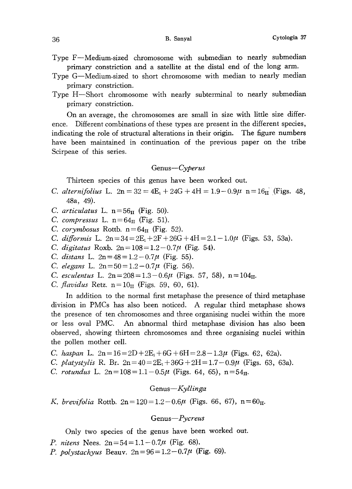- Type F-Medium-sized chromosome with submedian to nearly submedian primary constriction and a satellite at the distal end of the long arm.
- Type G-Medium-sized to short chromosome with median to nearly median primary constriction.
- Type H-Short chromosome with nearly subterminal to nearly submedian primary constriction.

On an average, the chromosomes are small in size with little size differ ence. Different combinations of these types are present in the different species, indicating the role of structural alterations in their origin. The figure numbers have been maintained in continuation of the previous paper on the tribe Scirpeae of this series.

#### Genus-Cyperus

Thirteen species of this genus have been worked out.

- C. alternifolius L.  $2n = 32 = 4E_1 + 24G + 4H = 1.9 0.9\mu$   $n = 16$ II (Figs. 48, 48a, 49).
- C. articulatus L.  $n=56<sub>II</sub>$  (Fig. 50).
- C. compressus L.  $n=64<sub>II</sub>$  (Fig. 51).
- C. corymbosus Rottb.  $n=64<sub>II</sub>$  (Fig. 52).
- C. difformis L.  $2n=34=2E_1+2F+26G+4H=2.1-1.0\mu$  (Figs. 53, 53a).
- C. digitatus Roxb.  $2n = 108 = 1.2 0.7\mu$  (Fig. 54).
- C. distans L.  $2n = 48 = 1.2 0.7\mu$  (Fig. 55).
- C. elegans L.  $2n = 50 = 1.2 0.7\mu$  (Fig. 56).
- C. esculentus L.  $2n = 208 = 1.3 0.6\mu$  (Figs. 57, 58),  $n = 104<sub>II</sub>$ .
- *C. flavidus* Retz.  $n=10<sub>II</sub>$  (Figs. 59, 60, 61).

In addition to the normal first metaphase the presence of third metaphase division in PMCs has also been noticed. A regular third metaphase shows the presence of ten chromosomes and three organising nuclei within the more or less oval PMC. An abnormal third metaphase division has also been observed, showing thirteen chromosomes and three organising nuclei within the pollen mother cell.

C. haspan L.  $2n = 16 = 2D + 2E_1 + 6G + 6H = 2.8 - 1.3\mu$  (Figs. 62, 62a).

- C. platystylis R. Br.  $2n=40=2E_1+36G+2H=1.7-0.9\mu$  (Figs. 63, 63a).
- C. rotundus L.  $2n = 108 = 1.1 0.5\mu$  (Figs. 64, 65),  $n = 54<sub>II</sub>$ .

Genus-Kyllinga

K. brevifolia Rottb.  $2n = 120 = 1.2 - 0.6\mu$  (Figs. 66, 67),  $n = 60<sub>H</sub>$ .

### Genus-Pycreus

Only two species of the genus have been worked out.

- P. nitens Nees.  $2n = 54 = 1.1 0.7\mu$  (Fig. 68).
- *P. polystachyus* Beauv.  $2n = 96 = 1.2 0.7\mu$  (Fig. 69).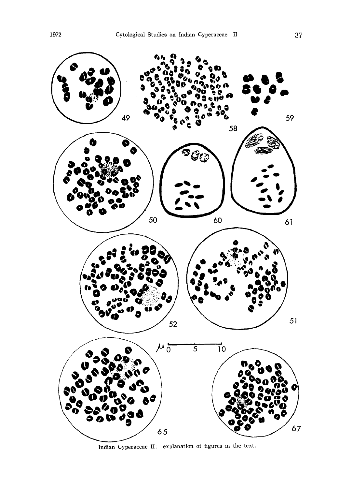

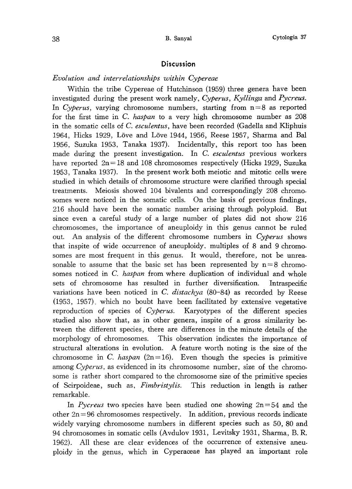#### Discussion

#### Evolution and interrelationships within Cypereae

Within the tribe Cypereae of Hutchinson (1959) three genera have been investigated during the present work namely, Cyperus, Kyllinga and Pycreus. In Cyperus, varying chromosome numbers, starting from  $n=8$  as reported for the first time in C. haspan to a very high chromosome number as 208 in the somatic cells of C. esculentus, have been recorded (Gadella and Kliphuis 1964, Hicks 1929, Love and Love 1944, 1956, Reese 1957, Sharma and Bal 1956, Suzuka 1953, Tanaka 1937). Incidentally, this report too has been made during the present investigation. In C. esculentus previous workers have reported  $2n=18$  and 108 chromosomes respectively (Hicks 1929, Suzuka 1953, Tanaka 1937). In the present work both meiotic and mitotic cells were studied in which details of chromosome structure were clarified through special treatments. Meiosis showed 104 bivalents and correspondingly 208 chromo somes were noticed in the somatic cells. On the basis of previous findings, 216 should have been the somatic number arising through polyploid. But since even a careful study of a large number of plates did not show 216 chromosomes, the importance of aneuploidy in this genus cannot be ruled out. An analysis of the different chromosome numbers in  $Cy$  perus shows that inspite of wide occurrence of aneuploidy. multiples of 8 and 9 chromo somes are most frequent in this genus. It would, therefore, not be unrea sonable to assume that the basic set has been represented by  $n=8$  chromosomes noticed in C. haspan from where duplication of individual and whole sets of chromosome has resulted in further diversification. Intraspecific variations have been noticed in C. distachya  $(80-84)$  as recorded by Reese (1953, 1957), which no boubt have been facilitated by extensive vegetative reproduction of species of Cyperus. Karyotypes of the different species studied also show that, as in other genera, inspite of a gross similarity be tween the different species, there are differences in the minute details of the morphology of chromosomes. This observation indicates the importance of structural alterations in evolution. A feature worth noting is the size of the chromosome in C. haspan (2n=16). Even though the species is primitive among Cyperus, as evidenced in its chromosome number, size of the chromosome is rather short compared to the chromosome size of the primitive species of Scirpoideae, such as, *Fimbristylis*. This reduction in length is rather remarkable.

In Pycreus two species have been studied one showing  $2n=54$  and the other  $2n=96$  chromosomes respectively. In addition, previous records indicate widely varying chromosome numbers in different species such as 50, 80 and 94 chromosomes in somatic cells (Avdulov 1931, Levitsky 1931, Sharma, B. R. 1962). All these are clear evidences of the occurrence of extensive aneu ploidy in the genus, which in Cyperaceae has played an important role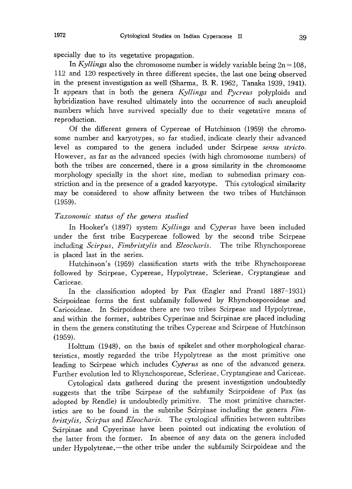specially due to its vegetative propagation.

In Kyllinga also the chromosome number is widely variable being  $2n=108$ , 112 and 120 respectively in three different species, the last one being observed in the present investigation as well (Sharma, B. R. 1962, Tanaka 1939, 1941). It appears that in both the genera  $Kyllinga$  and  $Pycreus$  polyploids and hybridization have resulted ultimately into the occurrence of such aneuploid numbers which have survived specially due to their vegetative means of reproduction.

Of the different genera of Cypereae of Hutchinson (1959) the chromo some number and karyotypes, so far studied, indicate clearly their advanced level as compared to the genera included under Scirpeae *sensu stricto*. However, as far as the advanced species (with high chromosome numbers) of both the tribes are concerned, there is a gross similarity in the chromosome morphology specially in the short size, median to submedian primary con striction and in the presence of a graded karyotype. This cytological similarity may be considered to show affinity between the two tribes of Hutchinson (1959).

#### Taxonomic status of the genera studied

In Hooker's (1897) system Kyllinga and Cyperus have been included under the first tribe Eucypereae followed by the second tribe Scirpeae including *Scirpus, Fimbristylis* and *Eleocharis*. The tribe Rhynchosporeae is placed last in the series.

Hutchinson's (1959) classification starts with the tribe Rhynchosporeae followed by Scirpeae, Cypereae, Hypolytreae, Sclerieae, Cryptangieae and Cariceae.

In the classification adopted by Pax (Engler and Prantl 1887-1931) Scirpoideae forms the first subfamily followed by Rhynchosporoideae and Caricoideae. In Scirpoideae there are two tribes Scirpeae and Hypolytreae, and within the former, subtribes Cyperinae and Scirpinae are placed including in them the genera constituting the tribes Cypereae and Scirpeae of Hutchinson (1959).

Holttum (1948), on the basis of spikelet and other morphological charac teristics, mostly regarded the tribe Hypolytreae as the most primitive one leading to Scirpeae which includes Cyperus as one of the advanced genera. Further evolution led to Rhynchosporeae, Sclerieae, Cryptangieae and Cariceae.

Cytological data gathered during the present investigation undoubtedly suggests that the tribe Scirpeae of the subfamily Scirpoideae of Pax (as adopted by Rendle) is undoubtedly primitive. The most primitive character istics are to be found in the subtribe Scirpinae including the genera Fimbristylis, Scirpus and Eleocharis. The cytological affinities between subtribes Scirpinae and Cpyerinae have been pointed out indicating the evolution of the latter from the former. In absence of any data on the genera included under Hypolytreae, —the other tribe under the subfamily Scirpoideae and the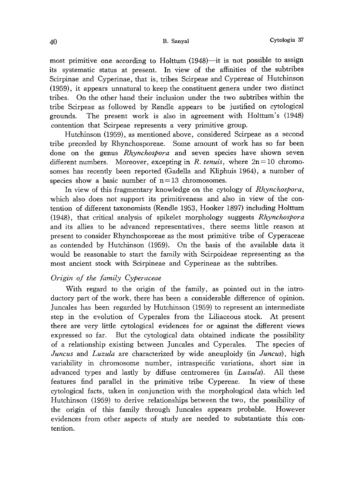most primitive one according to Holttum (1948)-it is not possible to assign its systematic status at present. In view of the affinities of the subtribes Scirpinae and Cyperinae, that is, tribes Scirpeae and Cypereae of Hutchinson (1959), it appears unnatural to keep the constituent genera under two distinct tribes. On the other hand their inclusion under the two subtribes within the tribe Scirpeae as followed by Rendle appears to be justified on cytological grounds. The present work is also in agreement with Holttum's (1948) contention that Scirpeae represents a very primitive group.

Hutchinson (1959), as mentioned above, considered Scirpeae as a second tribe preceded by Rhynchosporeae. Some amount of work has so far been done on the genus Rhynchospora and seven species have shown seven different numbers. Moreover, excepting in R. tenuis, where  $2n=10$  chromosomes has recently been reported (Gadella and Kliphuis 1964), a number of species show a basic number of  $n=13$  chromosomes.

In view of this fragmentary knowledge on the cytology of Rhynchospora, which also does not support its primitiveness and also in view of the con tention of different taxonomists (Rendle 1953, Hooker 1897) including Holttum (1948), that critical analysis of spikelet morphology suggests Rhynchospora and its allies to be advanced representatives, there seems little reason at present to consider Rhynchosporeae as the most primitive tribe of Cyperaceae as contended by Hutchinson (1959). On the basis of the available data it would be reasonable to start the family with Scirpoideae representing as the most ancient stock with Scirpineae and Cyperineae as the subtribes.

# Origin of the family Cyperaceae

With regard to the origin of the family, as pointed out in the intro ductory part of the work, there has been a considerable difference of opinion. Juncales has been regarded by Hutchinson (1959) to represent an intermediate step in the evolution of Cyperales from the Liliaceous stock. At present there are very little cytological evidences for or against the different views expressed so far. But the cytological data obtained indicate the possibility of a relationship existing between Juncales and Cyperales. The species of Juncus and Luzula are characterized by wide aneuploidy (in Juncus), high variability in chromosome number, intraspecific variations, short size in advanced types and lastly by diffuse centromeres (in *Luzula*). All these features find parallel in the primitive tribe Cypereae. In view of these cytological facts, taken in conjunction with the morphological data which led Hutchinson (1959) to derive relationships between the two, the possibility of the origin of this family through Juncales appears probable. However evidences from other aspects of study are needed to substantiate this con tention.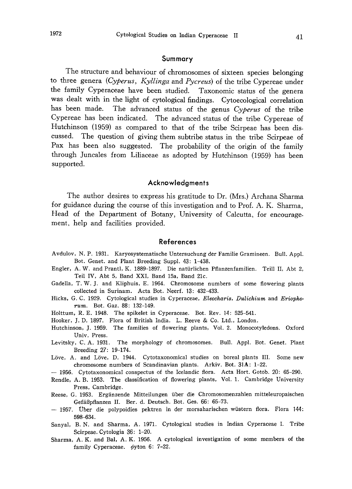#### Summary

The structure and behaviour of chromosomes of sixteen species belonging to three genera (Cyperus, Kyllinga and Pycreus) of the tribe Cypereae under the family Cyperaceae have been studied. Taxonomic status of the genera was dealt with in the light of cytological findings. Cytoecological correlation has been made. The advanced status of the genus Cyperus of the tribe Cypereae has been indicated. The advanced status of the tribe Cypereae of Hutchinson (1959) as compared to that of the tribe Scirpeae has been dis cussed. The question of giving them subtribe status in the tribe Scirpeae of Pax has been also suggested. The probability of the origin of the family through Juncales from Liliaceae as adopted by Hutchinson (1959) has been supported.

#### Acknowledgments

The author desires to express his gratitude to Dr. (Mrs.) Archana Sharma for guidance during the course of this investigation and to Prof. A. K. Sharma, Head of the Department of Botany, University of Calcutta, for encouragement, help and facilities provided.

#### References

- Avdulov, N. P. 1931. Karyosystematische Untersuchung der Familie Gramineen. Bull. Appl. Bot. Genet. and Plant Breeding Suppl. 43: 1-438.
- Engler, A. W. and Prantl, K. 1889-1897. Die naturlichen Pflanzenfamilien. Teill II, Abt 2, Teil IV, Abt 5, Band XXI, Band 15a, Band 21c.
- Gadella, T. W. J. and Kliphuis, E. 1964. Chromosome numbers of some flowering plants collected in Surinam. Acta Bot. Neerf. 13: 432-433.
- Hicks, G. C. 1929. Cytological studies in Cyperaceae, Eleocharis, Dulichium and Eriophorum. Bot. Gaz. 88: 132-149.
- Holttum, R. E. 1948. The spikelet in Cyperaceae. Bot. Rev. 14: 525-541.
- Hooker, J. D. 1897. Flora of British India. L. Reeve & Co. Ltd., London.
- Hutchinson, J. 1959. The families of flowering plants, Vol. 2. Monocotyledons. Oxford Univ. Press.
- Levitsky, C. A. 1931. The morphology of chromosomes. Bull. Appl. Bot. Genet. Plant Breeding 27: 19-174.
- Löve, A. and Löve, D. 1944. Cytotaxonomical studies on boreal plants III. Some new chromosome numbers of Scandinavian plants. Arkiv. Bot. 31A: 1-22.
- 1956. Cytotaxonomical conspectus of the Icelandic flora. Acta Hort. Gotob. 20: 65-290.
- Rendle, A. B. 1953. The classification of flowering plants, Vol. 1. Cambridge University Press, Cambridge.
- Reese, G. 1953. Erganzende Mitteilungen uber die Chromosomenzahlen mitteleuropaischen Gefäßpflanzen II. Ber. d. Deutsch. Bot. Ges. 66: 65-73.
- 1957. Uber die polypoidies pektren in der morsaharischen wustern flora. Flora 144: 598-634.
- Sanyal, B. N. and Sharma, A. 1971. Cytological studies in Indian Cyperaceae I. Tribe Scirpeae. Cytologia 36: 1-20.
- Sharma, A. K. and Bal, A. K. 1956. A cytological investigation of some members of the family Cyperaceae.  $\phi$ yton 6: 7-22.